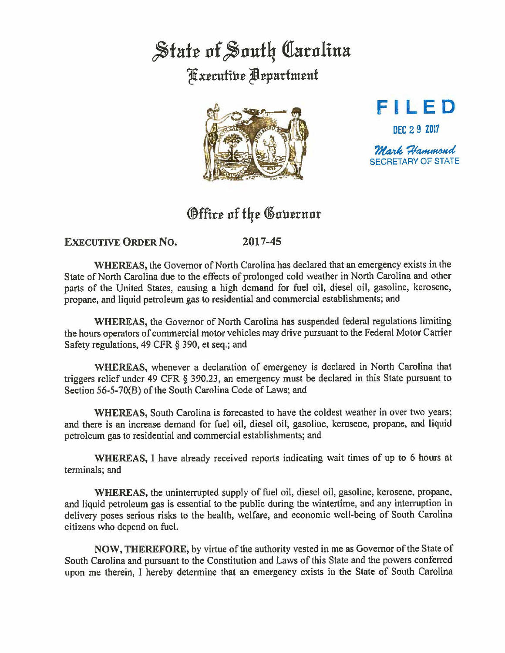## State of South Carolina ~xerufiue ~eparfmenf





SECRETARY OF STATE

## Office of the Governor

## **EXECUTIVE ORDER No. 2017-45**

**WHEREAS,** the Governor of North Carolina has declared that an emergency exists in the State of North Carolina due to the effects of prolonged cold weather in North Carolina and other parts of the United States, causing a high demand for fuel oil, diesel oil, gasoline, kerosene, propane, and liquid petroleum gas to residential and commercial establishments; and

**WHEREAS,** the Governor of North Carolina has suspended federal regulations limiting the hours operators of commercial motor vehicles may drive pursuant to the Federal Motor Carrier Safety regulations, 49 CFR § 390, et seq.; and

**WHEREAS,** whenever a declaration of emergency is declared in North Carolina that triggers relief under 49 CFR § 390.23, an emergency must be declared in this State pursuant to Section 56-5-70(8) of the South Carolina Code of Laws; and

**WHEREAS,** South Carolina is forecasted to have the coldest weather in over two years; and there is an increase demand for fuel oil, diesel oil, gasoline, kerosene, propane, and liquid petroleum gas to residential and commercial establishments; and

**WHEREAS,** I have already received reports indicating wait times of up to 6 hours at terminals; and

**WHEREAS,** the uninterrupted supply of fuel oil, diesel oil, gasoline, kerosene, propane, and liquid petroleum gas is essential to the public during the wintertime, and any interruption in delivery poses serious risks to the health, welfare, and economic well-being of South Carolina citizens who depend on fuel.

**NOW, THEREFORE,** by virtue of the authority vested in me as Governor of the State of South Carolina and pursuant to the Constitution and Laws of this State and the powers conferred upon me therein, I hereby determine that an emergency exists in the State of South Carolina